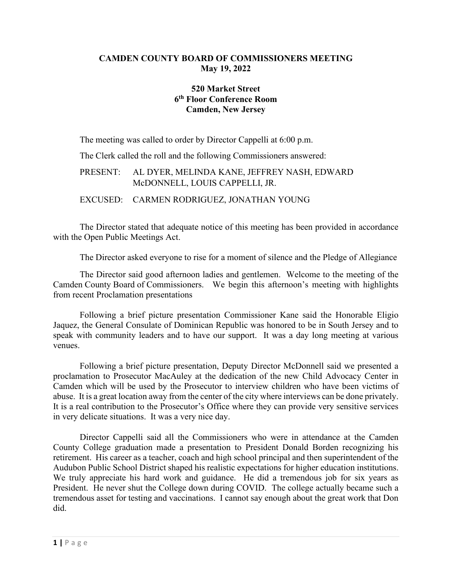### **CAMDEN COUNTY BOARD OF COMMISSIONERS MEETING May 19, 2022**

# **520 Market Street 6th Floor Conference Room Camden, New Jersey**

The meeting was called to order by Director Cappelli at 6:00 p.m.

The Clerk called the roll and the following Commissioners answered:

# PRESENT: AL DYER, MELINDA KANE, JEFFREY NASH, EDWARD McDONNELL, LOUIS CAPPELLI, JR.

### EXCUSED: CARMEN RODRIGUEZ, JONATHAN YOUNG

The Director stated that adequate notice of this meeting has been provided in accordance with the Open Public Meetings Act.

The Director asked everyone to rise for a moment of silence and the Pledge of Allegiance

The Director said good afternoon ladies and gentlemen. Welcome to the meeting of the Camden County Board of Commissioners. We begin this afternoon's meeting with highlights from recent Proclamation presentations

Following a brief picture presentation Commissioner Kane said the Honorable Eligio Jaquez, the General Consulate of Dominican Republic was honored to be in South Jersey and to speak with community leaders and to have our support. It was a day long meeting at various venues.

Following a brief picture presentation, Deputy Director McDonnell said we presented a proclamation to Prosecutor MacAuley at the dedication of the new Child Advocacy Center in Camden which will be used by the Prosecutor to interview children who have been victims of abuse. It is a great location away from the center of the city where interviews can be done privately. It is a real contribution to the Prosecutor's Office where they can provide very sensitive services in very delicate situations. It was a very nice day.

Director Cappelli said all the Commissioners who were in attendance at the Camden County College graduation made a presentation to President Donald Borden recognizing his retirement. His career as a teacher, coach and high school principal and then superintendent of the Audubon Public School District shaped his realistic expectations for higher education institutions. We truly appreciate his hard work and guidance. He did a tremendous job for six years as President. He never shut the College down during COVID. The college actually became such a tremendous asset for testing and vaccinations. I cannot say enough about the great work that Don did.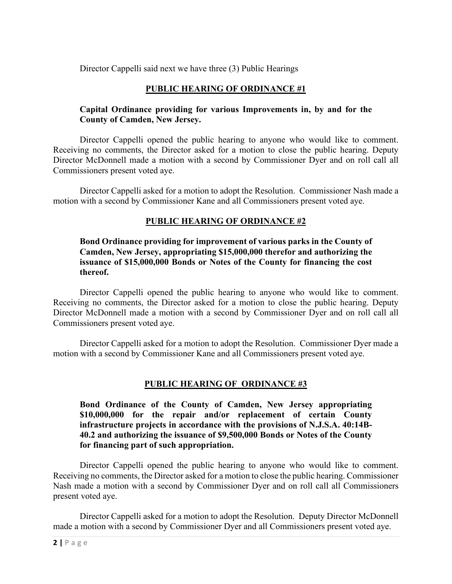Director Cappelli said next we have three (3) Public Hearings

# **PUBLIC HEARING OF ORDINANCE #1**

### **Capital Ordinance providing for various Improvements in, by and for the County of Camden, New Jersey.**

Director Cappelli opened the public hearing to anyone who would like to comment. Receiving no comments, the Director asked for a motion to close the public hearing. Deputy Director McDonnell made a motion with a second by Commissioner Dyer and on roll call all Commissioners present voted aye.

Director Cappelli asked for a motion to adopt the Resolution. Commissioner Nash made a motion with a second by Commissioner Kane and all Commissioners present voted aye.

# **PUBLIC HEARING OF ORDINANCE #2**

### **Bond Ordinance providing for improvement of various parks in the County of Camden, New Jersey, appropriating \$15,000,000 therefor and authorizing the issuance of \$15,000,000 Bonds or Notes of the County for financing the cost thereof.**

Director Cappelli opened the public hearing to anyone who would like to comment. Receiving no comments, the Director asked for a motion to close the public hearing. Deputy Director McDonnell made a motion with a second by Commissioner Dyer and on roll call all Commissioners present voted aye.

Director Cappelli asked for a motion to adopt the Resolution. Commissioner Dyer made a motion with a second by Commissioner Kane and all Commissioners present voted aye.

### **PUBLIC HEARING OF ORDINANCE #3**

**Bond Ordinance of the County of Camden, New Jersey appropriating \$10,000,000 for the repair and/or replacement of certain County infrastructure projects in accordance with the provisions of N.J.S.A. 40:14B-40.2 and authorizing the issuance of \$9,500,000 Bonds or Notes of the County for financing part of such appropriation.**

Director Cappelli opened the public hearing to anyone who would like to comment. Receiving no comments, the Director asked for a motion to close the public hearing. Commissioner Nash made a motion with a second by Commissioner Dyer and on roll call all Commissioners present voted aye.

Director Cappelli asked for a motion to adopt the Resolution. Deputy Director McDonnell made a motion with a second by Commissioner Dyer and all Commissioners present voted aye.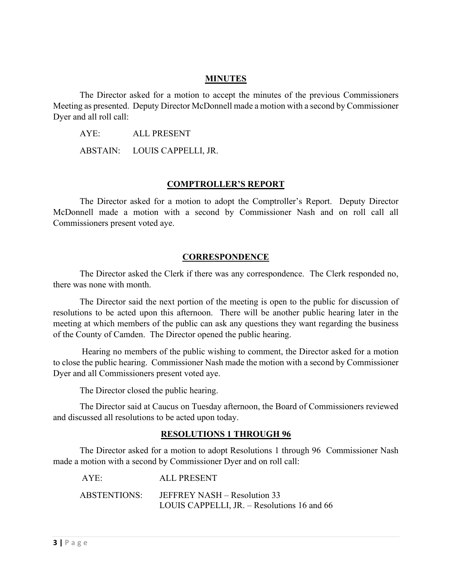#### **MINUTES**

The Director asked for a motion to accept the minutes of the previous Commissioners Meeting as presented. Deputy Director McDonnell made a motion with a second by Commissioner Dyer and all roll call:

AYE: ALL PRESENT

ABSTAIN: LOUIS CAPPELLI, JR.

#### **COMPTROLLER'S REPORT**

The Director asked for a motion to adopt the Comptroller's Report. Deputy Director McDonnell made a motion with a second by Commissioner Nash and on roll call all Commissioners present voted aye.

#### **CORRESPONDENCE**

The Director asked the Clerk if there was any correspondence. The Clerk responded no, there was none with month.

The Director said the next portion of the meeting is open to the public for discussion of resolutions to be acted upon this afternoon. There will be another public hearing later in the meeting at which members of the public can ask any questions they want regarding the business of the County of Camden. The Director opened the public hearing.

Hearing no members of the public wishing to comment, the Director asked for a motion to close the public hearing. Commissioner Nash made the motion with a second by Commissioner Dyer and all Commissioners present voted aye.

The Director closed the public hearing.

The Director said at Caucus on Tuesday afternoon, the Board of Commissioners reviewed and discussed all resolutions to be acted upon today.

#### **RESOLUTIONS 1 THROUGH 96**

The Director asked for a motion to adopt Resolutions 1 through 96 Commissioner Nash made a motion with a second by Commissioner Dyer and on roll call:

| AYE:         | ALL PRESENT                                   |
|--------------|-----------------------------------------------|
| ABSTENTIONS: | JEFFREY NASH – Resolution 33                  |
|              | LOUIS CAPPELLI, JR. $-$ Resolutions 16 and 66 |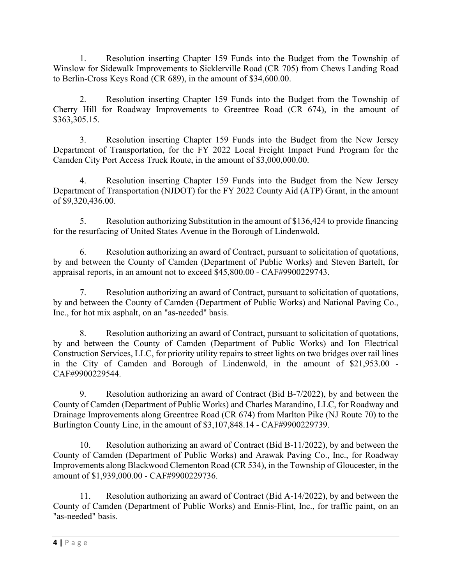1. Resolution inserting Chapter 159 Funds into the Budget from the Township of Winslow for Sidewalk Improvements to Sicklerville Road (CR 705) from Chews Landing Road to Berlin-Cross Keys Road (CR 689), in the amount of \$34,600.00.

2. Resolution inserting Chapter 159 Funds into the Budget from the Township of Cherry Hill for Roadway Improvements to Greentree Road (CR 674), in the amount of \$363,305.15.

3. Resolution inserting Chapter 159 Funds into the Budget from the New Jersey Department of Transportation, for the FY 2022 Local Freight Impact Fund Program for the Camden City Port Access Truck Route, in the amount of \$3,000,000.00.

4. Resolution inserting Chapter 159 Funds into the Budget from the New Jersey Department of Transportation (NJDOT) for the FY 2022 County Aid (ATP) Grant, in the amount of \$9,320,436.00.

5. Resolution authorizing Substitution in the amount of \$136,424 to provide financing for the resurfacing of United States Avenue in the Borough of Lindenwold.

6. Resolution authorizing an award of Contract, pursuant to solicitation of quotations, by and between the County of Camden (Department of Public Works) and Steven Bartelt, for appraisal reports, in an amount not to exceed \$45,800.00 - CAF#9900229743.

7. Resolution authorizing an award of Contract, pursuant to solicitation of quotations, by and between the County of Camden (Department of Public Works) and National Paving Co., Inc., for hot mix asphalt, on an "as-needed" basis.

8. Resolution authorizing an award of Contract, pursuant to solicitation of quotations, by and between the County of Camden (Department of Public Works) and Ion Electrical Construction Services, LLC, for priority utility repairs to street lights on two bridges over rail lines in the City of Camden and Borough of Lindenwold, in the amount of \$21,953.00 -CAF#9900229544.

9. Resolution authorizing an award of Contract (Bid B-7/2022), by and between the County of Camden (Department of Public Works) and Charles Marandino, LLC, for Roadway and Drainage Improvements along Greentree Road (CR 674) from Marlton Pike (NJ Route 70) to the Burlington County Line, in the amount of \$3,107,848.14 - CAF#9900229739.

10. Resolution authorizing an award of Contract (Bid B-11/2022), by and between the County of Camden (Department of Public Works) and Arawak Paving Co., Inc., for Roadway Improvements along Blackwood Clementon Road (CR 534), in the Township of Gloucester, in the amount of \$1,939,000.00 - CAF#9900229736.

11. Resolution authorizing an award of Contract (Bid A-14/2022), by and between the County of Camden (Department of Public Works) and Ennis-Flint, Inc., for traffic paint, on an "as-needed" basis.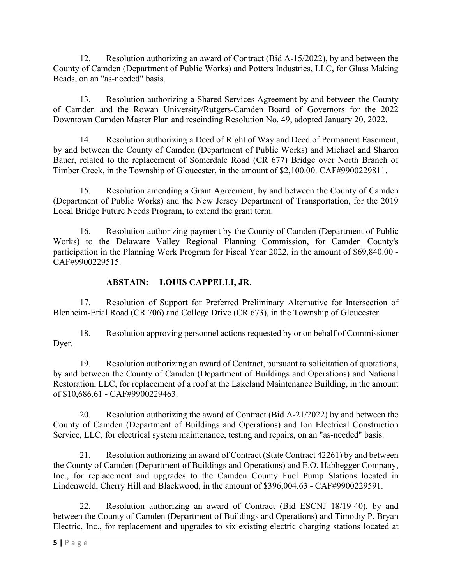12. Resolution authorizing an award of Contract (Bid A-15/2022), by and between the County of Camden (Department of Public Works) and Potters Industries, LLC, for Glass Making Beads, on an "as-needed" basis.

13. Resolution authorizing a Shared Services Agreement by and between the County of Camden and the Rowan University/Rutgers-Camden Board of Governors for the 2022 Downtown Camden Master Plan and rescinding Resolution No. 49, adopted January 20, 2022.

14. Resolution authorizing a Deed of Right of Way and Deed of Permanent Easement, by and between the County of Camden (Department of Public Works) and Michael and Sharon Bauer, related to the replacement of Somerdale Road (CR 677) Bridge over North Branch of Timber Creek, in the Township of Gloucester, in the amount of \$2,100.00. CAF#9900229811.

15. Resolution amending a Grant Agreement, by and between the County of Camden (Department of Public Works) and the New Jersey Department of Transportation, for the 2019 Local Bridge Future Needs Program, to extend the grant term.

16. Resolution authorizing payment by the County of Camden (Department of Public Works) to the Delaware Valley Regional Planning Commission, for Camden County's participation in the Planning Work Program for Fiscal Year 2022, in the amount of \$69,840.00 -CAF#9900229515.

# **ABSTAIN: LOUIS CAPPELLI, JR**.

17. Resolution of Support for Preferred Preliminary Alternative for Intersection of Blenheim-Erial Road (CR 706) and College Drive (CR 673), in the Township of Gloucester.

18. Resolution approving personnel actions requested by or on behalf of Commissioner Dyer.

19. Resolution authorizing an award of Contract, pursuant to solicitation of quotations, by and between the County of Camden (Department of Buildings and Operations) and National Restoration, LLC, for replacement of a roof at the Lakeland Maintenance Building, in the amount of \$10,686.61 - CAF#9900229463.

20. Resolution authorizing the award of Contract (Bid A-21/2022) by and between the County of Camden (Department of Buildings and Operations) and Ion Electrical Construction Service, LLC, for electrical system maintenance, testing and repairs, on an "as-needed" basis.

21. Resolution authorizing an award of Contract (State Contract 42261) by and between the County of Camden (Department of Buildings and Operations) and E.O. Habhegger Company, Inc., for replacement and upgrades to the Camden County Fuel Pump Stations located in Lindenwold, Cherry Hill and Blackwood, in the amount of \$396,004.63 - CAF#9900229591.

22. Resolution authorizing an award of Contract (Bid ESCNJ 18/19-40), by and between the County of Camden (Department of Buildings and Operations) and Timothy P. Bryan Electric, Inc., for replacement and upgrades to six existing electric charging stations located at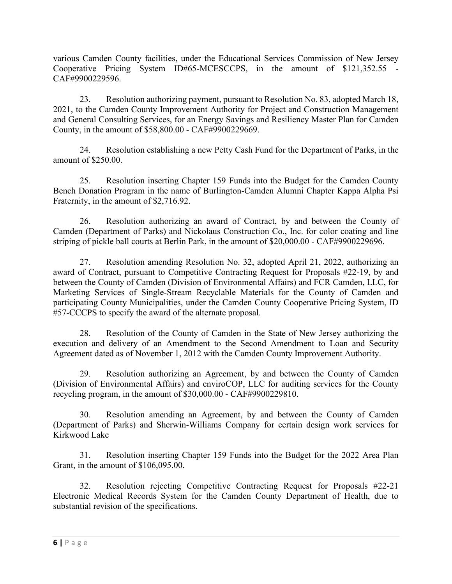various Camden County facilities, under the Educational Services Commission of New Jersey Cooperative Pricing System ID#65-MCESCCPS, in the amount of \$121,352.55 CAF#9900229596.

23. Resolution authorizing payment, pursuant to Resolution No. 83, adopted March 18, 2021, to the Camden County Improvement Authority for Project and Construction Management and General Consulting Services, for an Energy Savings and Resiliency Master Plan for Camden County, in the amount of \$58,800.00 - CAF#9900229669.

24. Resolution establishing a new Petty Cash Fund for the Department of Parks, in the amount of \$250.00.

25. Resolution inserting Chapter 159 Funds into the Budget for the Camden County Bench Donation Program in the name of Burlington-Camden Alumni Chapter Kappa Alpha Psi Fraternity, in the amount of \$2,716.92.

26. Resolution authorizing an award of Contract, by and between the County of Camden (Department of Parks) and Nickolaus Construction Co., Inc. for color coating and line striping of pickle ball courts at Berlin Park, in the amount of \$20,000.00 - CAF#9900229696.

27. Resolution amending Resolution No. 32, adopted April 21, 2022, authorizing an award of Contract, pursuant to Competitive Contracting Request for Proposals #22-19, by and between the County of Camden (Division of Environmental Affairs) and FCR Camden, LLC, for Marketing Services of Single-Stream Recyclable Materials for the County of Camden and participating County Municipalities, under the Camden County Cooperative Pricing System, ID #57-CCCPS to specify the award of the alternate proposal.

28. Resolution of the County of Camden in the State of New Jersey authorizing the execution and delivery of an Amendment to the Second Amendment to Loan and Security Agreement dated as of November 1, 2012 with the Camden County Improvement Authority.

29. Resolution authorizing an Agreement, by and between the County of Camden (Division of Environmental Affairs) and enviroCOP, LLC for auditing services for the County recycling program, in the amount of \$30,000.00 - CAF#9900229810.

30. Resolution amending an Agreement, by and between the County of Camden (Department of Parks) and Sherwin-Williams Company for certain design work services for Kirkwood Lake

31. Resolution inserting Chapter 159 Funds into the Budget for the 2022 Area Plan Grant, in the amount of \$106,095.00.

32. Resolution rejecting Competitive Contracting Request for Proposals #22-21 Electronic Medical Records System for the Camden County Department of Health, due to substantial revision of the specifications.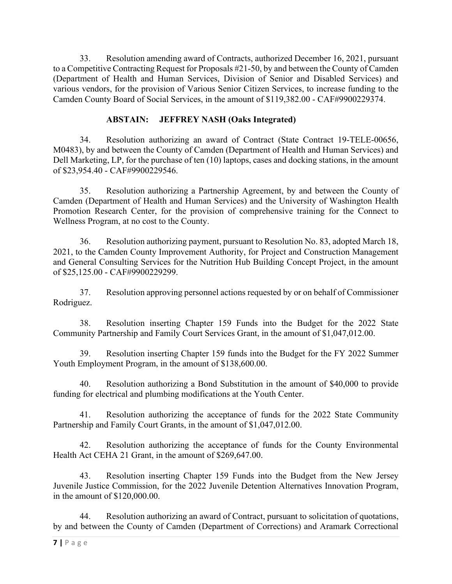33. Resolution amending award of Contracts, authorized December 16, 2021, pursuant to a Competitive Contracting Request for Proposals #21-50, by and between the County of Camden (Department of Health and Human Services, Division of Senior and Disabled Services) and various vendors, for the provision of Various Senior Citizen Services, to increase funding to the Camden County Board of Social Services, in the amount of \$119,382.00 - CAF#9900229374.

### **ABSTAIN: JEFFREY NASH (Oaks Integrated)**

34. Resolution authorizing an award of Contract (State Contract 19-TELE-00656, M0483), by and between the County of Camden (Department of Health and Human Services) and Dell Marketing, LP, for the purchase of ten (10) laptops, cases and docking stations, in the amount of \$23,954.40 - CAF#9900229546.

35. Resolution authorizing a Partnership Agreement, by and between the County of Camden (Department of Health and Human Services) and the University of Washington Health Promotion Research Center, for the provision of comprehensive training for the Connect to Wellness Program, at no cost to the County.

36. Resolution authorizing payment, pursuant to Resolution No. 83, adopted March 18, 2021, to the Camden County Improvement Authority, for Project and Construction Management and General Consulting Services for the Nutrition Hub Building Concept Project, in the amount of \$25,125.00 - CAF#9900229299.

37. Resolution approving personnel actions requested by or on behalf of Commissioner Rodriguez.

38. Resolution inserting Chapter 159 Funds into the Budget for the 2022 State Community Partnership and Family Court Services Grant, in the amount of \$1,047,012.00.

39. Resolution inserting Chapter 159 funds into the Budget for the FY 2022 Summer Youth Employment Program, in the amount of \$138,600.00.

40. Resolution authorizing a Bond Substitution in the amount of \$40,000 to provide funding for electrical and plumbing modifications at the Youth Center.

41. Resolution authorizing the acceptance of funds for the 2022 State Community Partnership and Family Court Grants, in the amount of \$1,047,012.00.

42. Resolution authorizing the acceptance of funds for the County Environmental Health Act CEHA 21 Grant, in the amount of \$269,647.00.

43. Resolution inserting Chapter 159 Funds into the Budget from the New Jersey Juvenile Justice Commission, for the 2022 Juvenile Detention Alternatives Innovation Program, in the amount of \$120,000.00.

44. Resolution authorizing an award of Contract, pursuant to solicitation of quotations, by and between the County of Camden (Department of Corrections) and Aramark Correctional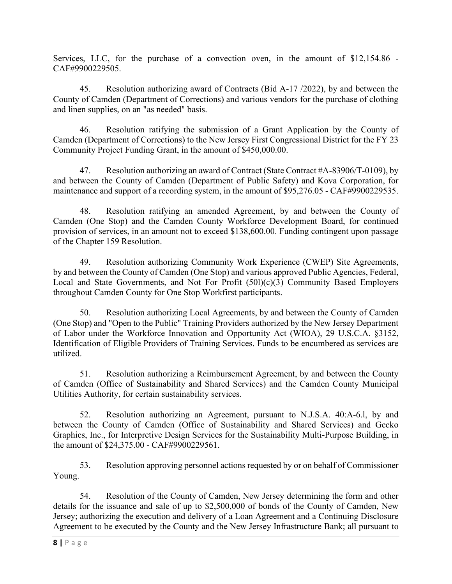Services, LLC, for the purchase of a convection oven, in the amount of \$12,154.86 -CAF#9900229505.

45. Resolution authorizing award of Contracts (Bid A-17 /2022), by and between the County of Camden (Department of Corrections) and various vendors for the purchase of clothing and linen supplies, on an "as needed" basis.

46. Resolution ratifying the submission of a Grant Application by the County of Camden (Department of Corrections) to the New Jersey First Congressional District for the FY 23 Community Project Funding Grant, in the amount of \$450,000.00.

47. Resolution authorizing an award of Contract (State Contract #A-83906/T-0109), by and between the County of Camden (Department of Public Safety) and Kova Corporation, for maintenance and support of a recording system, in the amount of \$95,276.05 - CAF#9900229535.

48. Resolution ratifying an amended Agreement, by and between the County of Camden (One Stop) and the Camden County Workforce Development Board, for continued provision of services, in an amount not to exceed \$138,600.00. Funding contingent upon passage of the Chapter 159 Resolution.

49. Resolution authorizing Community Work Experience (CWEP) Site Agreements, by and between the County of Camden (One Stop) and various approved Public Agencies, Federal, Local and State Governments, and Not For Profit (50l)(c)(3) Community Based Employers throughout Camden County for One Stop Workfirst participants.

50. Resolution authorizing Local Agreements, by and between the County of Camden (One Stop) and "Open to the Public" Training Providers authorized by the New Jersey Department of Labor under the Workforce Innovation and Opportunity Act (WIOA), 29 U.S.C.A. §3152, Identification of Eligible Providers of Training Services. Funds to be encumbered as services are utilized.

51. Resolution authorizing a Reimbursement Agreement, by and between the County of Camden (Office of Sustainability and Shared Services) and the Camden County Municipal Utilities Authority, for certain sustainability services.

52. Resolution authorizing an Agreement, pursuant to N.J.S.A. 40:A-6.l, by and between the County of Camden (Office of Sustainability and Shared Services) and Gecko Graphics, Inc., for Interpretive Design Services for the Sustainability Multi-Purpose Building, in the amount of \$24,375.00 - CAF#9900229561.

53. Resolution approving personnel actions requested by or on behalf of Commissioner Young.

54. Resolution of the County of Camden, New Jersey determining the form and other details for the issuance and sale of up to \$2,500,000 of bonds of the County of Camden, New Jersey; authorizing the execution and delivery of a Loan Agreement and a Continuing Disclosure Agreement to be executed by the County and the New Jersey Infrastructure Bank; all pursuant to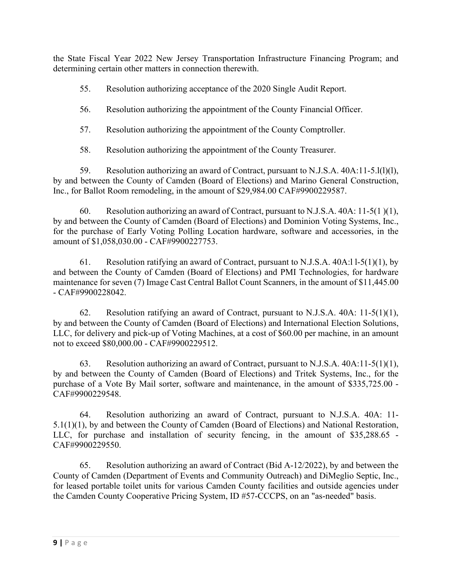the State Fiscal Year 2022 New Jersey Transportation Infrastructure Financing Program; and determining certain other matters in connection therewith.

55. Resolution authorizing acceptance of the 2020 Single Audit Report.

56. Resolution authorizing the appointment of the County Financial Officer.

57. Resolution authorizing the appointment of the County Comptroller.

58. Resolution authorizing the appointment of the County Treasurer.

59. Resolution authorizing an award of Contract, pursuant to N.J.S.A. 40A:11-5.l(l)(l), by and between the County of Camden (Board of Elections) and Marino General Construction, Inc., for Ballot Room remodeling, in the amount of \$29,984.00 CAF#9900229587.

60. Resolution authorizing an award of Contract, pursuant to N.J.S.A. 40A: 11-5(1 )(1), by and between the County of Camden (Board of Elections) and Dominion Voting Systems, Inc., for the purchase of Early Voting Polling Location hardware, software and accessories, in the amount of \$1,058,030.00 - CAF#9900227753.

61. Resolution ratifying an award of Contract, pursuant to N.J.S.A.  $40A:11-5(1)(1)$ , by and between the County of Camden (Board of Elections) and PMI Technologies, for hardware maintenance for seven (7) Image Cast Central Ballot Count Scanners, in the amount of \$11,445.00 - CAF#9900228042.

62. Resolution ratifying an award of Contract, pursuant to N.J.S.A. 40A: 11-5(1)(1), by and between the County of Camden (Board of Elections) and International Election Solutions, LLC, for delivery and pick-up of Voting Machines, at a cost of \$60.00 per machine, in an amount not to exceed \$80,000.00 - CAF#9900229512.

63. Resolution authorizing an award of Contract, pursuant to N.J.S.A. 40A:11-5(1)(1), by and between the County of Camden (Board of Elections) and Tritek Systems, Inc., for the purchase of a Vote By Mail sorter, software and maintenance, in the amount of \$335,725.00 -CAF#9900229548.

64. Resolution authorizing an award of Contract, pursuant to N.J.S.A. 40A: 11-5.1(1)(1), by and between the County of Camden (Board of Elections) and National Restoration, LLC, for purchase and installation of security fencing, in the amount of \$35,288.65 -CAF#9900229550.

65. Resolution authorizing an award of Contract (Bid A-12/2022), by and between the County of Camden (Department of Events and Community Outreach) and DiMeglio Septic, Inc., for leased portable toilet units for various Camden County facilities and outside agencies under the Camden County Cooperative Pricing System, ID #57-CCCPS, on an "as-needed" basis.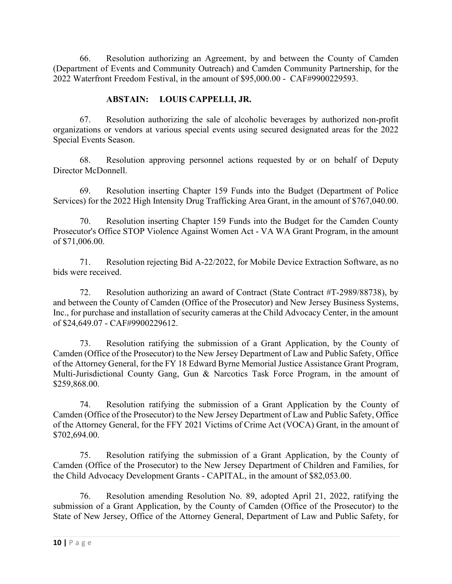66. Resolution authorizing an Agreement, by and between the County of Camden (Department of Events and Community Outreach) and Camden Community Partnership, for the 2022 Waterfront Freedom Festival, in the amount of \$95,000.00 - CAF#9900229593.

# **ABSTAIN: LOUIS CAPPELLI, JR.**

67. Resolution authorizing the sale of alcoholic beverages by authorized non-profit organizations or vendors at various special events using secured designated areas for the 2022 Special Events Season.

68. Resolution approving personnel actions requested by or on behalf of Deputy Director McDonnell.

69. Resolution inserting Chapter 159 Funds into the Budget (Department of Police Services) for the 2022 High Intensity Drug Trafficking Area Grant, in the amount of \$767,040.00.

70. Resolution inserting Chapter 159 Funds into the Budget for the Camden County Prosecutor's Office STOP Violence Against Women Act - VA WA Grant Program, in the amount of \$71,006.00.

71. Resolution rejecting Bid A-22/2022, for Mobile Device Extraction Software, as no bids were received.

72. Resolution authorizing an award of Contract (State Contract #T-2989/88738), by and between the County of Camden (Office of the Prosecutor) and New Jersey Business Systems, Inc., for purchase and installation of security cameras at the Child Advocacy Center, in the amount of \$24,649.07 - CAF#9900229612.

73. Resolution ratifying the submission of a Grant Application, by the County of Camden (Office of the Prosecutor) to the New Jersey Department of Law and Public Safety, Office of the Attorney General, for the FY 18 Edward Byrne Memorial Justice Assistance Grant Program, Multi-Jurisdictional County Gang, Gun & Narcotics Task Force Program, in the amount of \$259,868.00.

74. Resolution ratifying the submission of a Grant Application by the County of Camden (Office of the Prosecutor) to the New Jersey Department of Law and Public Safety, Office of the Attorney General, for the FFY 2021 Victims of Crime Act (VOCA) Grant, in the amount of \$702,694.00.

75. Resolution ratifying the submission of a Grant Application, by the County of Camden (Office of the Prosecutor) to the New Jersey Department of Children and Families, for the Child Advocacy Development Grants - CAPITAL, in the amount of \$82,053.00.

76. Resolution amending Resolution No. 89, adopted April 21, 2022, ratifying the submission of a Grant Application, by the County of Camden (Office of the Prosecutor) to the State of New Jersey, Office of the Attorney General, Department of Law and Public Safety, for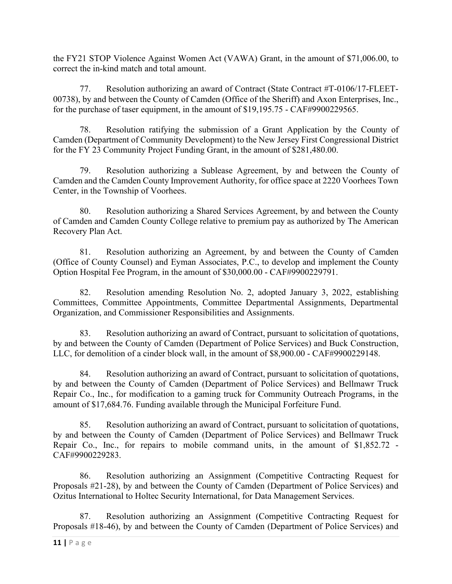the FY21 STOP Violence Against Women Act (VAWA) Grant, in the amount of \$71,006.00, to correct the in-kind match and total amount.

77. Resolution authorizing an award of Contract (State Contract #T-0106/17-FLEET-00738), by and between the County of Camden (Office of the Sheriff) and Axon Enterprises, Inc., for the purchase of taser equipment, in the amount of \$19,195.75 - CAF#9900229565.

78. Resolution ratifying the submission of a Grant Application by the County of Camden (Department of Community Development) to the New Jersey First Congressional District for the FY 23 Community Project Funding Grant, in the amount of \$281,480.00.

79. Resolution authorizing a Sublease Agreement, by and between the County of Camden and the Camden County Improvement Authority, for office space at 2220 Voorhees Town Center, in the Township of Voorhees.

80. Resolution authorizing a Shared Services Agreement, by and between the County of Camden and Camden County College relative to premium pay as authorized by The American Recovery Plan Act.

81. Resolution authorizing an Agreement, by and between the County of Camden (Office of County Counsel) and Eyman Associates, P.C., to develop and implement the County Option Hospital Fee Program, in the amount of \$30,000.00 - CAF#9900229791.

82. Resolution amending Resolution No. 2, adopted January 3, 2022, establishing Committees, Committee Appointments, Committee Departmental Assignments, Departmental Organization, and Commissioner Responsibilities and Assignments.

83. Resolution authorizing an award of Contract, pursuant to solicitation of quotations, by and between the County of Camden (Department of Police Services) and Buck Construction, LLC, for demolition of a cinder block wall, in the amount of \$8,900.00 - CAF#9900229148.

84. Resolution authorizing an award of Contract, pursuant to solicitation of quotations, by and between the County of Camden (Department of Police Services) and Bellmawr Truck Repair Co., Inc., for modification to a gaming truck for Community Outreach Programs, in the amount of \$17,684.76. Funding available through the Municipal Forfeiture Fund.

85. Resolution authorizing an award of Contract, pursuant to solicitation of quotations, by and between the County of Camden (Department of Police Services) and Bellmawr Truck Repair Co., Inc., for repairs to mobile command units, in the amount of \$1,852.72 -CAF#9900229283.

86. Resolution authorizing an Assignment (Competitive Contracting Request for Proposals #21-28), by and between the County of Camden (Department of Police Services) and Ozitus International to Holtec Security International, for Data Management Services.

87. Resolution authorizing an Assignment (Competitive Contracting Request for Proposals #18-46), by and between the County of Camden (Department of Police Services) and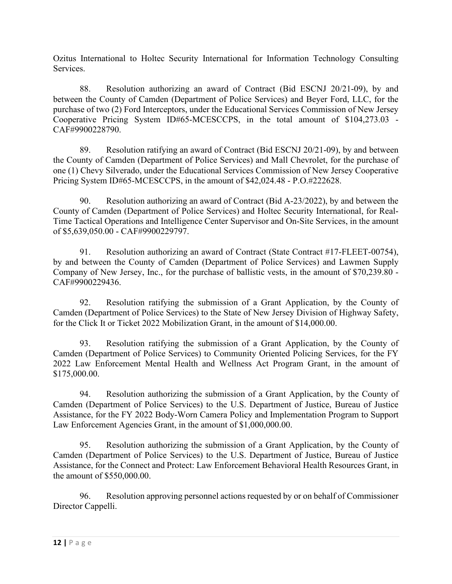Ozitus International to Holtec Security International for Information Technology Consulting Services.

88. Resolution authorizing an award of Contract (Bid ESCNJ 20/21-09), by and between the County of Camden (Department of Police Services) and Beyer Ford, LLC, for the purchase of two (2) Ford Interceptors, under the Educational Services Commission of New Jersey Cooperative Pricing System ID#65-MCESCCPS, in the total amount of \$104,273.03 -CAF#9900228790.

89. Resolution ratifying an award of Contract (Bid ESCNJ 20/21-09), by and between the County of Camden (Department of Police Services) and Mall Chevrolet, for the purchase of one (1) Chevy Silverado, under the Educational Services Commission of New Jersey Cooperative Pricing System ID#65-MCESCCPS, in the amount of \$42,024.48 - P.O.#222628.

90. Resolution authorizing an award of Contract (Bid A-23/2022), by and between the County of Camden (Department of Police Services) and Holtec Security International, for Real-Time Tactical Operations and Intelligence Center Supervisor and On-Site Services, in the amount of \$5,639,050.00 - CAF#9900229797.

91. Resolution authorizing an award of Contract (State Contract #17-FLEET-00754), by and between the County of Camden (Department of Police Services) and Lawmen Supply Company of New Jersey, Inc., for the purchase of ballistic vests, in the amount of \$70,239.80 -CAF#9900229436.

92. Resolution ratifying the submission of a Grant Application, by the County of Camden (Department of Police Services) to the State of New Jersey Division of Highway Safety, for the Click It or Ticket 2022 Mobilization Grant, in the amount of \$14,000.00.

93. Resolution ratifying the submission of a Grant Application, by the County of Camden (Department of Police Services) to Community Oriented Policing Services, for the FY 2022 Law Enforcement Mental Health and Wellness Act Program Grant, in the amount of \$175,000.00.

94. Resolution authorizing the submission of a Grant Application, by the County of Camden (Department of Police Services) to the U.S. Department of Justice, Bureau of Justice Assistance, for the FY 2022 Body-Worn Camera Policy and Implementation Program to Support Law Enforcement Agencies Grant, in the amount of \$1,000,000.00.

95. Resolution authorizing the submission of a Grant Application, by the County of Camden (Department of Police Services) to the U.S. Department of Justice, Bureau of Justice Assistance, for the Connect and Protect: Law Enforcement Behavioral Health Resources Grant, in the amount of \$550,000.00.

96. Resolution approving personnel actions requested by or on behalf of Commissioner Director Cappelli.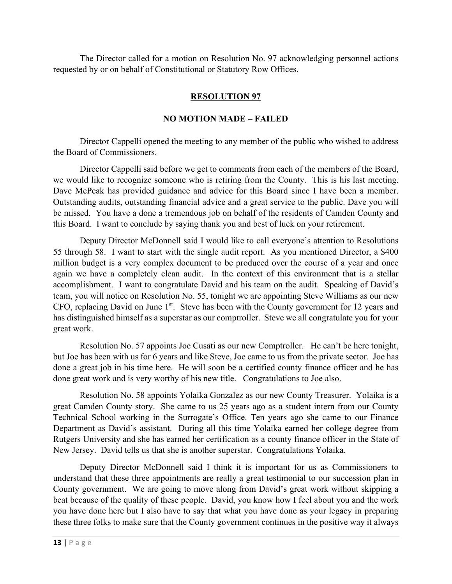The Director called for a motion on Resolution No. 97 acknowledging personnel actions requested by or on behalf of Constitutional or Statutory Row Offices.

# **RESOLUTION 97**

### **NO MOTION MADE – FAILED**

Director Cappelli opened the meeting to any member of the public who wished to address the Board of Commissioners.

Director Cappelli said before we get to comments from each of the members of the Board, we would like to recognize someone who is retiring from the County. This is his last meeting. Dave McPeak has provided guidance and advice for this Board since I have been a member. Outstanding audits, outstanding financial advice and a great service to the public. Dave you will be missed. You have a done a tremendous job on behalf of the residents of Camden County and this Board. I want to conclude by saying thank you and best of luck on your retirement.

Deputy Director McDonnell said I would like to call everyone's attention to Resolutions 55 through 58. I want to start with the single audit report. As you mentioned Director, a \$400 million budget is a very complex document to be produced over the course of a year and once again we have a completely clean audit. In the context of this environment that is a stellar accomplishment. I want to congratulate David and his team on the audit. Speaking of David's team, you will notice on Resolution No. 55, tonight we are appointing Steve Williams as our new CFO, replacing David on June 1<sup>st</sup>. Steve has been with the County government for 12 years and has distinguished himself as a superstar as our comptroller. Steve we all congratulate you for your great work.

Resolution No. 57 appoints Joe Cusati as our new Comptroller. He can't be here tonight, but Joe has been with us for 6 years and like Steve, Joe came to us from the private sector. Joe has done a great job in his time here. He will soon be a certified county finance officer and he has done great work and is very worthy of his new title. Congratulations to Joe also.

Resolution No. 58 appoints Yolaika Gonzalez as our new County Treasurer. Yolaika is a great Camden County story. She came to us 25 years ago as a student intern from our County Technical School working in the Surrogate's Office. Ten years ago she came to our Finance Department as David's assistant. During all this time Yolaika earned her college degree from Rutgers University and she has earned her certification as a county finance officer in the State of New Jersey. David tells us that she is another superstar. Congratulations Yolaika.

Deputy Director McDonnell said I think it is important for us as Commissioners to understand that these three appointments are really a great testimonial to our succession plan in County government. We are going to move along from David's great work without skipping a beat because of the quality of these people. David, you know how I feel about you and the work you have done here but I also have to say that what you have done as your legacy in preparing these three folks to make sure that the County government continues in the positive way it always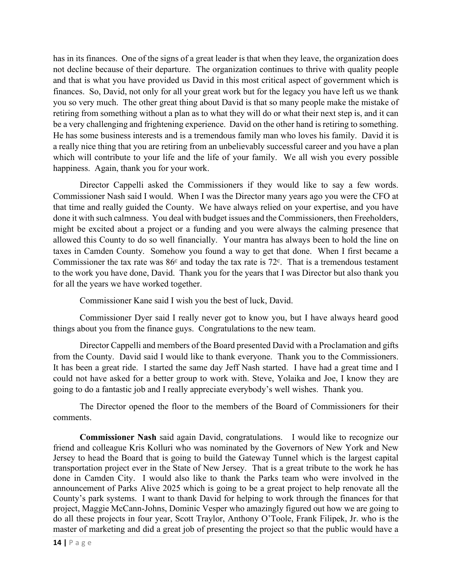has in its finances. One of the signs of a great leader is that when they leave, the organization does not decline because of their departure. The organization continues to thrive with quality people and that is what you have provided us David in this most critical aspect of government which is finances. So, David, not only for all your great work but for the legacy you have left us we thank you so very much. The other great thing about David is that so many people make the mistake of retiring from something without a plan as to what they will do or what their next step is, and it can be a very challenging and frightening experience. David on the other hand is retiring to something. He has some business interests and is a tremendous family man who loves his family. David it is a really nice thing that you are retiring from an unbelievably successful career and you have a plan which will contribute to your life and the life of your family. We all wish you every possible happiness. Again, thank you for your work.

Director Cappelli asked the Commissioners if they would like to say a few words. Commissioner Nash said I would. When I was the Director many years ago you were the CFO at that time and really guided the County. We have always relied on your expertise, and you have done it with such calmness. You deal with budget issues and the Commissioners, then Freeholders, might be excited about a project or a funding and you were always the calming presence that allowed this County to do so well financially. Your mantra has always been to hold the line on taxes in Camden County. Somehow you found a way to get that done. When I first became a Commissioner the tax rate was  $86<sup>c</sup>$  and today the tax rate is 72 $<sup>c</sup>$ . That is a tremendous testament</sup> to the work you have done, David. Thank you for the years that I was Director but also thank you for all the years we have worked together.

Commissioner Kane said I wish you the best of luck, David.

Commissioner Dyer said I really never got to know you, but I have always heard good things about you from the finance guys. Congratulations to the new team.

Director Cappelli and members of the Board presented David with a Proclamation and gifts from the County. David said I would like to thank everyone. Thank you to the Commissioners. It has been a great ride. I started the same day Jeff Nash started. I have had a great time and I could not have asked for a better group to work with. Steve, Yolaika and Joe, I know they are going to do a fantastic job and I really appreciate everybody's well wishes. Thank you.

The Director opened the floor to the members of the Board of Commissioners for their comments.

**Commissioner Nash** said again David, congratulations. I would like to recognize our friend and colleague Kris Kolluri who was nominated by the Governors of New York and New Jersey to head the Board that is going to build the Gateway Tunnel which is the largest capital transportation project ever in the State of New Jersey. That is a great tribute to the work he has done in Camden City. I would also like to thank the Parks team who were involved in the announcement of Parks Alive 2025 which is going to be a great project to help renovate all the County's park systems. I want to thank David for helping to work through the finances for that project, Maggie McCann-Johns, Dominic Vesper who amazingly figured out how we are going to do all these projects in four year, Scott Traylor, Anthony O'Toole, Frank Filipek, Jr. who is the master of marketing and did a great job of presenting the project so that the public would have a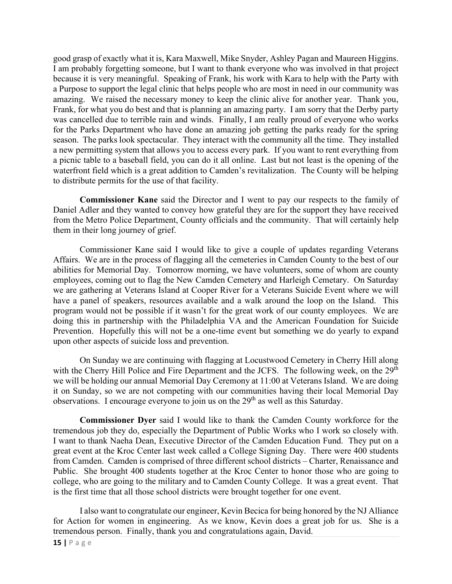good grasp of exactly what it is, Kara Maxwell, Mike Snyder, Ashley Pagan and Maureen Higgins. I am probably forgetting someone, but I want to thank everyone who was involved in that project because it is very meaningful. Speaking of Frank, his work with Kara to help with the Party with a Purpose to support the legal clinic that helps people who are most in need in our community was amazing. We raised the necessary money to keep the clinic alive for another year. Thank you, Frank, for what you do best and that is planning an amazing party. I am sorry that the Derby party was cancelled due to terrible rain and winds. Finally, I am really proud of everyone who works for the Parks Department who have done an amazing job getting the parks ready for the spring season. The parks look spectacular. They interact with the community all the time. They installed a new permitting system that allows you to access every park. If you want to rent everything from a picnic table to a baseball field, you can do it all online. Last but not least is the opening of the waterfront field which is a great addition to Camden's revitalization. The County will be helping to distribute permits for the use of that facility.

**Commissioner Kane** said the Director and I went to pay our respects to the family of Daniel Adler and they wanted to convey how grateful they are for the support they have received from the Metro Police Department, County officials and the community. That will certainly help them in their long journey of grief.

Commissioner Kane said I would like to give a couple of updates regarding Veterans Affairs. We are in the process of flagging all the cemeteries in Camden County to the best of our abilities for Memorial Day. Tomorrow morning, we have volunteers, some of whom are county employees, coming out to flag the New Camden Cemetery and Harleigh Cemetary. On Saturday we are gathering at Veterans Island at Cooper River for a Veterans Suicide Event where we will have a panel of speakers, resources available and a walk around the loop on the Island. This program would not be possible if it wasn't for the great work of our county employees. We are doing this in partnership with the Philadelphia VA and the American Foundation for Suicide Prevention. Hopefully this will not be a one-time event but something we do yearly to expand upon other aspects of suicide loss and prevention.

On Sunday we are continuing with flagging at Locustwood Cemetery in Cherry Hill along with the Cherry Hill Police and Fire Department and the JCFS. The following week, on the  $29<sup>th</sup>$ we will be holding our annual Memorial Day Ceremony at 11:00 at Veterans Island. We are doing it on Sunday, so we are not competing with our communities having their local Memorial Day observations. I encourage everyone to join us on the  $29<sup>th</sup>$  as well as this Saturday.

**Commissioner Dyer** said I would like to thank the Camden County workforce for the tremendous job they do, especially the Department of Public Works who I work so closely with. I want to thank Naeha Dean, Executive Director of the Camden Education Fund. They put on a great event at the Kroc Center last week called a College Signing Day. There were 400 students from Camden. Camden is comprised of three different school districts – Charter, Renaissance and Public. She brought 400 students together at the Kroc Center to honor those who are going to college, who are going to the military and to Camden County College. It was a great event. That is the first time that all those school districts were brought together for one event.

I also want to congratulate our engineer, Kevin Becica for being honored by the NJ Alliance for Action for women in engineering. As we know, Kevin does a great job for us. She is a tremendous person. Finally, thank you and congratulations again, David.